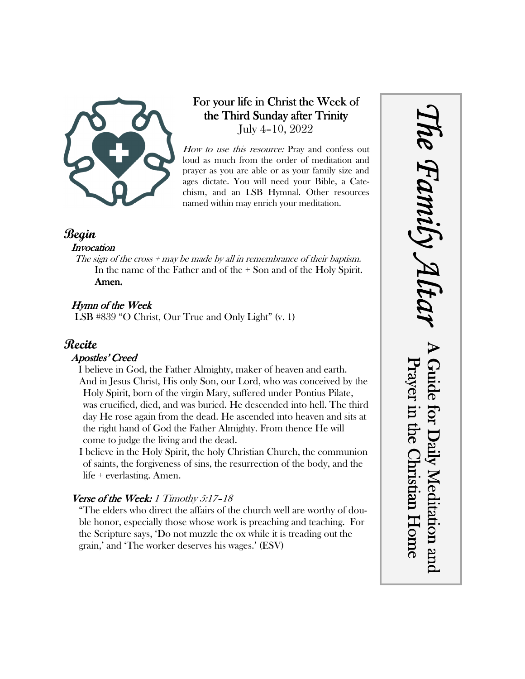

## For your life in Christ the Week of the Third Sunday after Trinity July 4–10, 2022

How to use this resource: Pray and confess out loud as much from the order of meditation and prayer as you are able or as your family size and ages dictate. You will need your Bible, a Catechism, and an LSB Hymnal. Other resources named within may enrich your meditation.

### **Begin**

### **Invocation**

The sign of the cross  $+$  may be made by all in remembrance of their baptism. In the name of the Father and of the + Son and of the Holy Spirit. Amen.

### Hymn of the Week

LSB #839 "O Christ, Our True and Only Light" (v. 1)

# **Recite**

### Apostles' Creed

I believe in God, the Father Almighty, maker of heaven and earth. And in Jesus Christ, His only Son, our Lord, who was conceived by the Holy Spirit, born of the virgin Mary, suffered under Pontius Pilate, was crucified, died, and was buried. He descended into hell. The third day He rose again from the dead. He ascended into heaven and sits at the right hand of God the Father Almighty. From thence He will come to judge the living and the dead.

I believe in the Holy Spirit, the holy Christian Church, the communion of saints, the forgiveness of sins, the resurrection of the body, and the life + everlasting. Amen.

### Verse of the Week: 1 Timothy  $5:17$ -18

"The elders who direct the affairs of the church well are worthy of double honor, especially those whose work is preaching and teaching. For the Scripture says, 'Do not muzzle the ox while it is treading out the grain,' and 'The worker deserves his wages.' (ESV)

*The Family Altar* he Family A Guide for Daily Meditation and Prayer in the Christian Home Guide for Daily Meditation and Prayer in the Christian Home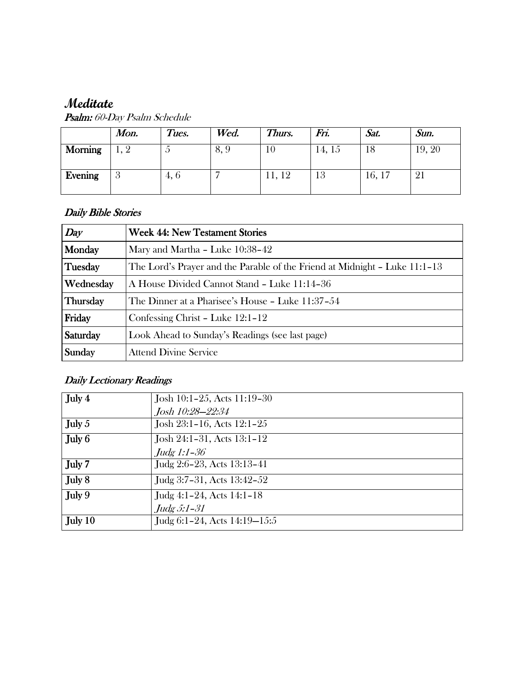# **Meditate**

|                | Mon.                     | Tues. | Wed. | Thurs. | Fri.   | Sat.   | Sun.   |
|----------------|--------------------------|-------|------|--------|--------|--------|--------|
| <b>Morning</b> | $\mathbf{1}, \mathbf{2}$ | ◡     | 8,9  | 1 V    | 14, 15 | 18     | 19, 20 |
| Evening        | ð                        | 4, 6  |      | 11, 12 | 13     | 16, 17 |        |

Psalm: 60-Day Psalm Schedule

### Daily Bible Stories

| Day       | <b>Week 44: New Testament Stories</b>                                      |  |  |
|-----------|----------------------------------------------------------------------------|--|--|
| Monday    | Mary and Martha - Luke 10:38-42                                            |  |  |
| Tuesday   | The Lord's Prayer and the Parable of the Friend at Midnight – Luke 11:1–13 |  |  |
| Wednesday | A House Divided Cannot Stand - Luke 11:14-36                               |  |  |
| Thursday  | The Dinner at a Pharisee's House - Luke 11:37-54                           |  |  |
| Friday    | Confessing Christ - Luke 12:1-12                                           |  |  |
| Saturday  | Look Ahead to Sunday's Readings (see last page)                            |  |  |
| Sunday    | <b>Attend Divine Service</b>                                               |  |  |

# Daily Lectionary Readings

| Josh 10:1-25, Acts 11:19-30  |
|------------------------------|
| Josh 10:28-22:34             |
| Josh 23:1-16, Acts 12:1-25   |
| Josh 24:1-31, Acts 13:1-12   |
| Judg $1:1-36$                |
| Judg 2:6-23, Acts 13:13-41   |
| Judg 3:7-31, Acts $13:42-52$ |
| Judg 4:1-24, Acts $14:1-18$  |
| Judg 5:1-31                  |
| Judg 6:1-24, Acts 14:19-15:5 |
|                              |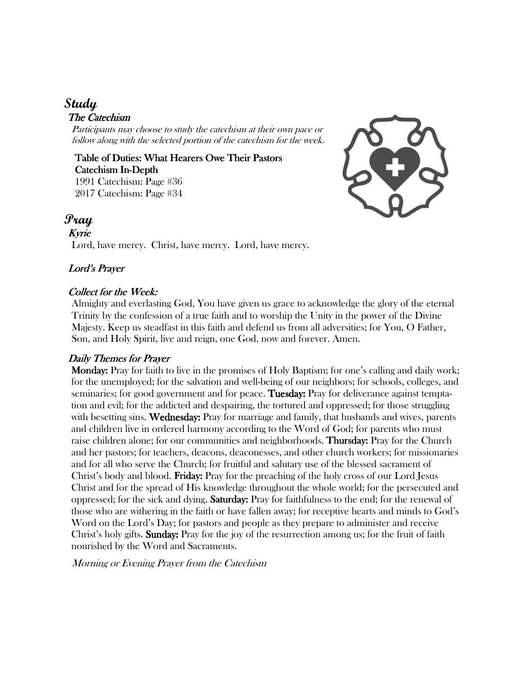# **Study**

### The Catechism

Participants may choose to study the catechism at their own pace or follow along with the selected portion of the catechism for the week.

Table of Duties: What Hearers Owe Their Pastors Catechism In-Depth 1991 Catechism: Page #36 2017 Catechism: Page #34



### **Pray**

#### Kyrie

Lord, have mercy. Christ, have mercy. Lord, have mercy.

### Lord's Prayer

#### Collect for the Week:

Almighty and everlasting God, You have given us grace to acknowledge the glory of the eternal Trinity by the confession of a true faith and to worship the Unity in the power of the Divine Majesty. Keep us steadfast in this faith and defend us from all adversities; for You, O Father, Son, and Holy Spirit, live and reign, one God, now and forever. Amen.

#### Daily Themes for Prayer

 Monday: Monday: Pray for faith to live in the promises of Holy Baptism; for one's calling and daily work; for the unemployed; for the salvation and well-being of our neighbors; for schools, colleges, and seminaries; for good government and for peace. Tuesday: Pray for deliverance against temptation and evil; for the addicted and despairing, the tortured and oppressed; for those struggling with besetting sins. Wednesday: Pray for marriage and family, that husbands and wives, parents and children live in ordered harmony according to the Word of God; for parents who must raise children alone; for our communities and neighborhoods. **Thursday:** Pray for the Church and her pastors; for teachers, deacons, deaconesses, and other church workers; for missionaries and for all who serve the Church; for fruitful and salutary use of the blessed sacrament of Christ's body and blood. **Friday:** Pray for the preaching of the holy cross of our Lord Jesus Christ and for the spread of His knowledge throughout the whole world; for the persecuted and oppressed; for the sick and dying. **Saturday:** Pray for faithfulness to the end; for the renewal of those who are withering in the faith or have fallen away; for receptive hearts and minds to God's Word on the Lord's Day; for pastors and people as they prepare to administer and receive Christ's holy gifts. **Sunday:** Pray for the joy of the resurrection among us; for the fruit of faith nourished by the Word and Sacraments.

Morning or Evening Prayer from the Catechism